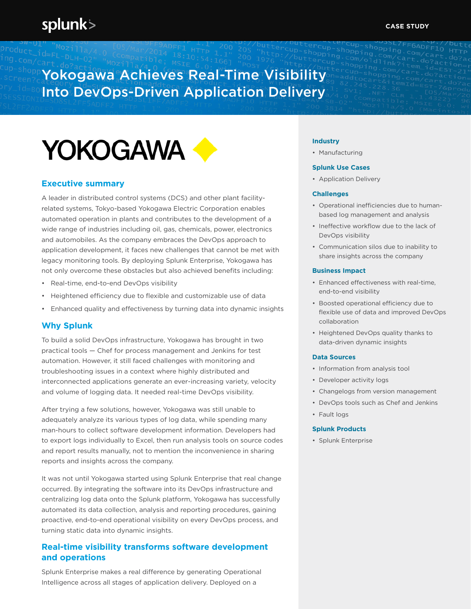# Yokogawa Achieves Real-Time Visibility Into DevOps-Driven Application Delivery



### **Executive summary**

A leader in distributed control systems (DCS) and other plant facilityrelated systems, Tokyo-based Yokogawa Electric Corporation enables automated operation in plants and contributes to the development of a wide range of industries including oil, gas, chemicals, power, electronics and automobiles. As the company embraces the DevOps approach to application development, it faces new challenges that cannot be met with legacy monitoring tools. By deploying Splunk Enterprise, Yokogawa has not only overcome these obstacles but also achieved benefits including:

- Real-time, end-to-end DevOps visibility
- Heightened efficiency due to flexible and customizable use of data
- Enhanced quality and effectiveness by turning data into dynamic insights

### **Why Splunk**

To build a solid DevOps infrastructure, Yokogawa has brought in two practical tools — Chef for process management and Jenkins for test automation. However, it still faced challenges with monitoring and troubleshooting issues in a context where highly distributed and interconnected applications generate an ever-increasing variety, velocity and volume of logging data. It needed real-time DevOps visibility.

After trying a few solutions, however, Yokogawa was still unable to adequately analyze its various types of log data, while spending many man-hours to collect software development information. Developers had to export logs individually to Excel, then run analysis tools on source codes and report results manually, not to mention the inconvenience in sharing reports and insights across the company.

It was not until Yokogawa started using Splunk Enterprise that real change occurred. By integrating the software into its DevOps infrastructure and centralizing log data onto the Splunk platform, Yokogawa has successfully automated its data collection, analysis and reporting procedures, gaining proactive, end-to-end operational visibility on every DevOps process, and turning static data into dynamic insights.

## **Real-time visibility transforms software development and operations**

Splunk Enterprise makes a real difference by generating Operational Intelligence across all stages of application delivery. Deployed on a

#### **Industry**

• Manufacturing

#### **Splunk Use Cases**

• Application Delivery

### **Challenges**

- Operational inefficiencies due to humanbased log management and analysis
- Ineffective workflow due to the lack of DevOps visibility
- Communication silos due to inability to share insights across the company

#### **Business Impact**

- Enhanced effectiveness with real-time, end-to-end visibility
- Boosted operational efficiency due to flexible use of data and improved DevOps collaboration
- Heightened DevOps quality thanks to data-driven dynamic insights

#### **Data Sources**

- Information from analysis tool
- Developer activity logs
- Changelogs from version management
- DevOps tools such as Chef and Jenkins
- Fault logs

#### **Splunk Products**

• Splunk Enterprise